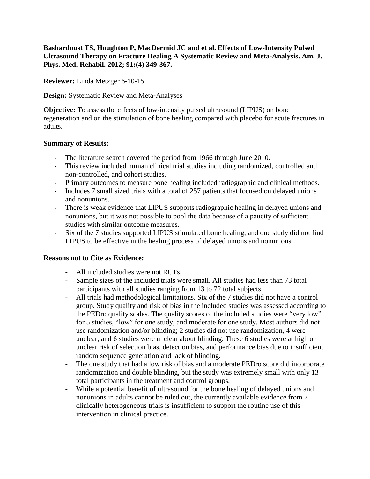**Bashardoust TS, Houghton P, MacDermid JC and et al. Effects of Low-Intensity Pulsed Ultrasound Therapy on Fracture Healing A Systematic Review and Meta-Analysis. Am. J. Phys. Med. Rehabil. 2012; 91:(4) 349-367.**

**Reviewer:** Linda Metzger 6-10-15

**Design:** Systematic Review and Meta-Analyses

**Objective:** To assess the effects of low-intensity pulsed ultrasound (LIPUS) on bone regeneration and on the stimulation of bone healing compared with placebo for acute fractures in adults.

## **Summary of Results:**

- The literature search covered the period from 1966 through June 2010.
- This review included human clinical trial studies including randomized, controlled and non-controlled, and cohort studies.
- Primary outcomes to measure bone healing included radiographic and clinical methods.
- Includes 7 small sized trials with a total of 257 patients that focused on delayed unions and nonunions.
- There is weak evidence that LIPUS supports radiographic healing in delayed unions and nonunions, but it was not possible to pool the data because of a paucity of sufficient studies with similar outcome measures.
- Six of the 7 studies supported LIPUS stimulated bone healing, and one study did not find LIPUS to be effective in the healing process of delayed unions and nonunions.

## **Reasons not to Cite as Evidence:**

- All included studies were not RCTs.
- Sample sizes of the included trials were small. All studies had less than 73 total participants with all studies ranging from 13 to 72 total subjects.
- All trials had methodological limitations. Six of the 7 studies did not have a control group. Study quality and risk of bias in the included studies was assessed according to the PEDro quality scales. The quality scores of the included studies were "very low" for 5 studies, "low" for one study, and moderate for one study. Most authors did not use randomization and/or blinding; 2 studies did not use randomization, 4 were unclear, and 6 studies were unclear about blinding. These 6 studies were at high or unclear risk of selection bias, detection bias, and performance bias due to insufficient random sequence generation and lack of blinding.
- The one study that had a low risk of bias and a moderate PEDro score did incorporate randomization and double blinding, but the study was extremely small with only 13 total participants in the treatment and control groups.
- While a potential benefit of ultrasound for the bone healing of delayed unions and nonunions in adults cannot be ruled out, the currently available evidence from 7 clinically heterogeneous trials is insufficient to support the routine use of this intervention in clinical practice.